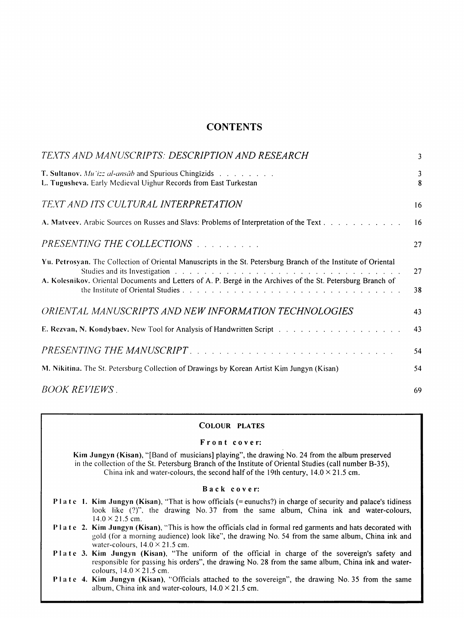## **CONTENTS**

| TEXTS AND MANUSCRIPTS: DESCRIPTION AND RESEARCH                                                                                                                                                                                                                                                                                                                                                                                                                   | 3        |
|-------------------------------------------------------------------------------------------------------------------------------------------------------------------------------------------------------------------------------------------------------------------------------------------------------------------------------------------------------------------------------------------------------------------------------------------------------------------|----------|
| <b>T. Sultanov.</b> Mu izz al-ansāb and Spurious Chingizids<br>L. Tugusheva. Early Medieval Uighur Records from East Turkestan                                                                                                                                                                                                                                                                                                                                    | 3<br>8   |
| TEXT AND ITS CULTURAL INTERPRETATION                                                                                                                                                                                                                                                                                                                                                                                                                              | 16       |
| A. Matycev. Arabic Sources on Russes and Slavs: Problems of Interpretation of the Text.                                                                                                                                                                                                                                                                                                                                                                           | 16       |
| PRESENTING THE COLLECTIONS                                                                                                                                                                                                                                                                                                                                                                                                                                        | 27       |
| Yu. Petrosyan. The Collection of Oriental Manuscripts in the St. Petersburg Branch of the Institute of Oriental<br>Studies and its Investigation enterprise in the content of the content of the content of the content of the content of the content of the content of the content of the content of the content of the content of the content o<br>A. Kolesnikov. Oriental Documents and Letters of A. P. Bergé in the Archives of the St. Petersburg Branch of | 27<br>38 |
| ORIENTAL MANUSCRIPTS AND NEW INFORMATION TECHNOLOGIES                                                                                                                                                                                                                                                                                                                                                                                                             | 43       |
|                                                                                                                                                                                                                                                                                                                                                                                                                                                                   | 43       |
| PRESENTING THE MANUSCRIPT.                                                                                                                                                                                                                                                                                                                                                                                                                                        | 54       |
| M. Nikitina. The St. Petersburg Collection of Drawings by Korean Artist Kim Jungyn (Kisan)                                                                                                                                                                                                                                                                                                                                                                        | 54       |
| <i>BOOK REVIEWS</i> .                                                                                                                                                                                                                                                                                                                                                                                                                                             | 69       |

### COLOUR PLATES

### F r o n t c o v e r:

Kim Jungyn (Kisan), "[Band of musicians] playing", the drawing No. 24 from the album preserved in the collection of the St. Petersburg Branch of the Institute of Oriental Studies (call number B-35), China ink and water-colours, the second half of the 19th century,  $14.0 \times 21.5$  cm.

### Back cover:

- Plate 1. Kim Jungyn (Kisan), "That is how officials (= eunuchs?) in charge of security and palace's tidiness look like (?)", the drawing No. 37 from the same album, China ink and water-colours,  $14.0 \times 21.5$  cm.
- PI at c 2. Kim Jungyn (Kisan), 'This is how the officials clad in formal red garments and hats decorated with gold (for a morning audience) look like", the drawing No. 54 from the same album, China ink and water-colours,  $14.0 \times 21.5$  cm.
- Plate 3. Kim Jungyn (Kisan), "The uniform of the official in charge of the sovereign's safety and responsible for passing his orders", the drawing No. 28 from the same album, China ink and watercolours,  $14.0 \times 21.5$  cm.
- Plate 4. Kim Jungyn (Kisan), "Officials attached to the sovereign", the drawing No. 35 from the same album, China ink and water-colours,  $14.0 \times 21.5$  cm.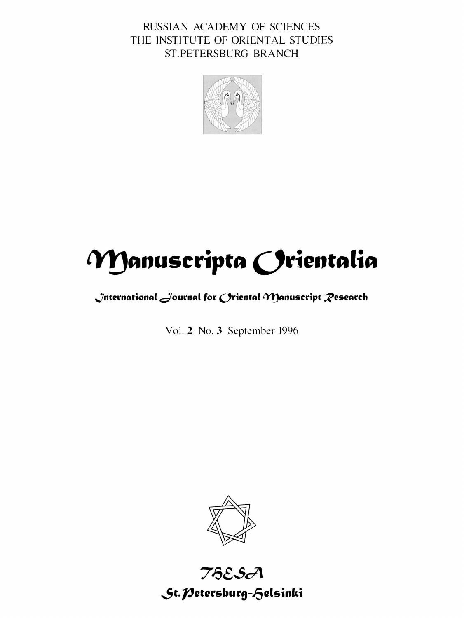RUSSIAN ACADEMY OF SCIENCES THE INSTITUTE OF ORIENTAL STUDIES ST.PETERSBURG BRANCH



# **Manuscripta Orientalia**

# **.Jntermnionnl dournnl for Orientnl IY!Jnnuscript** ~esenrch

Vol. 2 No. 3 September 1996



# 75£.SA St. *Petersburg-fielsinki*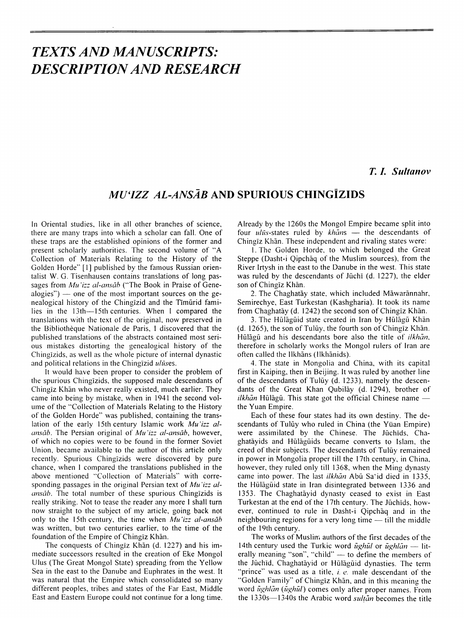# *TEXTS AND MANUSCRIPTS: DESCRIPTION AND RESEARCH*

# *T. L Su/tanov*

# *MU'IZZ AL-ANSAB* **AND SPURIOUS CHINGiZIDS**

In Oriental studies, like in all other branches of science, there are many traps into which a scholar can fall. One of these traps are the established opinions of the former and present scholarly authorities. The second volume of "A Collection of Materials Relating to the History of the Golden Horde" [I] published by the famous Russian orientalist W. G. Tisenhausen contains translations of long passages from *Mu'izz al-ansāb* ("The Book in Praise of Gene $alogies"$ ) — one of the most important sources on the genealogical history of the Chingizid and the Timurid families in the 13th-15th centuries. When I compared the translations with the text of the original, now preserved in the Bibliotheque Nationale de Paris, I discovered that the published translations of the abstracts contained most serious mistakes distorting the genealogical history of the Chingizids, as well as the whole picture of internal dynastic and political relations in the Chingizid *uhises.* 

It would have been proper to consider the problem of the spurious Chingizids, the supposed male descendants of Chingiz Khan who never really existed, much earlier. They came into being by mistake, when in 1941 the second volume of the "Collection of Materials Relating to the History of the Golden Horde" was published, containing the translation of the early 15th century Islamic work Mu'izz al*ansāb*. The Persian original of *Mu 'izz al-ansāb*, however, of which no copies were to be found in the former Soviet Union, became available to the author of this article only recently. Spurious Chingizids were discovered by pure chance, when I compared the translations published in the above mentioned "Collection of Materials" with corresponding passages in the original Persian text of *Mu 'izz alansāb*. The total number of these spurious Chingizids is really striking. Not to tease the reader any more I shall turn now straight to the subject of my article, going back not only to the 15th century, the time when *Mu'izz al-ansāb* was written, but two centuries earlier, to the time of the foundation of the Empire of Chingīz Khān.

The conquests of Chingiz Khan (d. 1227) and his immediate successors resulted in the creation of Eke Mongol Ulus (The Great Mongol State) spreading from the Yellow Sea in the east to the Danube and Euphrates in the west. It was natural that the Empire which consolidated so many different peoples. tribes and states of the Far East, Middle East and Eastern Europe could not continue for a long time.

Already by the 1260s the Mongol Empire became split into four *ulus*-states ruled by *khans* - the descendants of Chingiz Khan. These independent and rivaling states were:

I. The Golden Horde, to which belonged the Great Steppe (Dasht-i Qipchaq of the Muslim sources), from the River Irtysh in the east to the Danube in the west. This state was ruled by the descendants of Jūchī (d. 1227), the elder son of Chingiz Khan.

2. The Chaghatay state, which included Mawarannahr, Semirechye, East Turkestan (Kashgharia). It took its name from Chaghatay (d. 1242) the second son of Chingiz Khan.

3. The Hulagiiid state created in Iran by Hiilagii Khan (d. 1265), the son of Tulūy, the fourth son of Chingiz Khān. Hūlāgū and his descendants bore also the title of *ilkhān*, therefore in scholarly works the Mongol rulers of Iran are often called the Ilkhans (Ilkhanids).

4. The state in Mongolia and China, with its capital first in Kaiping. then in Beijing. It was ruled by another line of the descendants of Tulūy (d. 1233), namely the descendants of the Great Khan Qubilay (d. 1294), brother of *ilkhān* Hūlāgū. This state got the official Chinese name the Yuan Empire.

Each of these four states had its own destiny. The descendants of Tulūy who ruled in China (the Yüan Empire) were assimilated by the Chinese. The Jūchīds, Chaghatayids and Hiilagiiids became converts to Islam. the creed of their subjects. The descendants of Tulūy remained in power in Mongolia proper till the I 7th century, in China. however, they ruled only till 1368, when the Ming dynasty came into power. The last *ilkhan* Abii Sa"id died in 1335. the Hiilagiiid state in Iran disintegrated between 1336 and 1353. The Chaghatayid dynasty ceased to exist in East Turkestan at the end of the 17th century. The Jūchīds, however, continued to rule in Dasht-i Oipchaq and in the neighbouring regions for a very long time  $-$  till the middle of the I 9th century.

The works of Muslim authors of the first decades of the 14th century used the Turkic word *iighil* or *iighlan* - literally meaning "son", "child" - to define the members of the Jūchīd, Chaghatāyid or Hūlāgūid dynasties. The term "prince" was used as a title, *i. e.* male descendant of the "Golden Family" of Chingiz Khan, and in this meaning the word *iighlan* (*iighiil*) comes only after proper names. From the 1330s-1340s the Arabic word *su/(an* becomes the title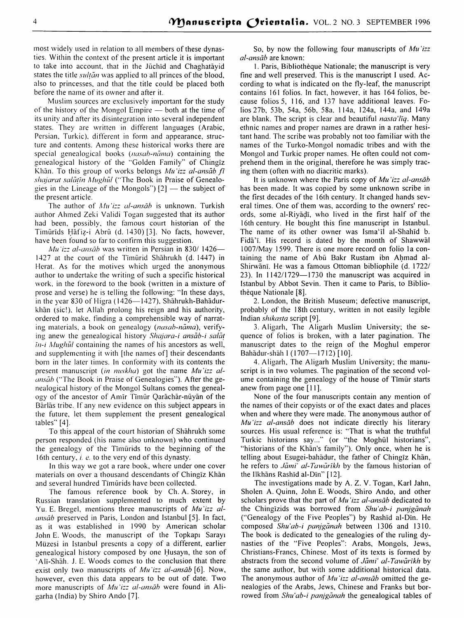most widely used in relation to all members of these dynasties. Within the context of the present article it is important to take into account, that in the Jūchīd and Chaghatayid states the title *sultan* was applied to all princes of the blood, also to princesses, and that the title could be placed both before the name of its owner and after it.

Muslim sources are exclusively important for the study of the history of the Mongol Empire - both at the time of its unity and atier its disintegration into several independent states. They are written in different languages (Arabic, Persian, Turkic), different in form and appearance, structure and contents. Among these historical works there are special genealogical books *(nasab-nama)* containing the genealogical history of the "Golden Family" of Chingiz Khan. To this group of works belongs *Mu "izz al-ansab* ft *shajarat sahl(in Mug/111/* ("The Book in Praise of Genealogies in the Lineage of the Mongols")  $[2]$  — the subject of the present article.

The author of *Mu'izz al-ansāb* is unknown. Turkish author Ahmed Zeki Validi Togan suggested that its author had been, possibly, the famous court historian of the Timūrīds Hāfiz-i Abrū (d. 1430) [3]. No facts, however, have been found so far to confirm this suggestion.

*Mu izz al-ansāb* was written in Persian in 830/1426-1427 at the court of the Timurid Shahrukh (d. 1447) in Herat. As for the motives which urged the anonymous author to undertake the writing of such a specific historical work. in the foreword to the book (written in a mixture of prose and verse) he is telling the following: "In these days, in the year 830 of Higra ( $1426$ -1427), Shahrukh-Bahadurkhan (sic!). let Allah prolong his reign and his authority, ordered to make. finding a comprehensible way of narrating materials, a book on genealogy *(nasab-nāma)*, verifying anew the genealogical history *Shajara-i ansab-i sala{ in-i Mughūl* containing the names of his ancestors as well, and supplementing it with [the names of] their descendants born in the later times. In conformity with its contents the present manuscript *(in nuskha)* got the name *Mu 'izz alansāb* ("The Book in Praise of Genealogies"). After the genealogical history of the Mongol Sultans comes the genealogy of the ancestor of Amir Timur Qarachar-nuyan of the Barias tribe. If any new evidence on this subject appears in the future, let them supplement the present genealogical tables" [4].

To this appeal of the court historian of Shahrukh some person responded (his name also unknown) who continued the genealogy of the Timurids to the beginning of the 16th century, *i. e.* to the very end of this dynasty.

In this way we got a rare book, where under one cover materials on over a thousand descendants of Chingiz Khan and several hundred Timurids have been collected.

The famous reference book by Ch. A. Storey, in Russian translation supplemented to much extent by Yu. E. Bregel, mentions three manuscripts of *Mu 'izz alansāb* preserved in Paris, London and Istanbul [5]. In fact, as it was established in 1990 by American scholar John E. Woods, the manuscript of the Topkapı Sarayı Müzesi in Istanbul presents a copy of a different, earlier genealogical history composed by one Husayn, the son of ·Ali-Shah. J. E. Woods comes to the conclusion that there exist only two manuscripts of *Mu'izz al-ansāb* [6]. Now, however, even this data appears to be out of date. Two more manuscripts of *Mu 'izz al-ansāb* were found in Aligarha (India) by Shiro Ando [7].

So, by now the following four manuscripts of *Mu'izz al-ansiib* are known:

I. Paris, Bibliotheque Nationale; the manuscript is very fine and well preserved. This is the manuscript I used. According to what is indicated on the fly-leaf, the manuscript contains 161 folios. In fact, however, it has 164 folios, because folios 5, 116, and 137 have additional leaves. Folios 27b, 53b, 54a, 56b, 58a. I 14a, 124a, 144a, and 149a are blank. The script is clear and beautiful *nasta'/iq.* Many ethnic names and proper names are drawn in a rather hesitant hand. The scribe was probably not too familiar with the names of the Turko-Mongol nomadic tribes and with the Mongol and Turkic proper names. He often could not comprehend them in the original, therefore he was simply tracing them (often with no diacritic marks).

It is unknown where the Paris copy of *Mu 'izz al-ansiib*  has been made. It was copied by some unknown scribe in the first decades of the 16th century. It changed hands several times. One of them was, according to the owners' records, some al-Riyadi, who lived in the first half of the 16th century. He bought this fine manuscript in Istanbul. The name of its other owner was lsma'il al-Shahid b. Fida'i. His record is dated by the month of Shawwal 1007/May 1599. There is one more record on folio la containing the name of Abū Bakr Rustam ibn Ahmad al-Shirwani. He was a famous Ottoman bibliophile (d. 1722/ 23). In 1142/1729-1730 the manuscript was acquired in Istanbul by Abbot Sevin. Then it came to Paris, to Bibliothèque Nationale [8].

2. London, the British Museum; defective manuscript, probably of the I 8th century, written in not easily legible Indian *shikasta* script [9].

3. Aligarh, The Aligarh Muslim University; the sequence of folios is broken, with a later pagination. The manuscript dates to the reign of the Moghul emperor Bahādur-shāh I (1707-1712) [10].

4. Aligarh, The Aligarh Muslim University; the manuscript is in two volumes. The pagination of the second volume containing the genealogy of the house of Timur starts anew from page one [I I].

None of the four manuscripts contain any mention of the names of their copyists or of the exact dates and places when and where they were made. The anonymous author of *Mu 'izz al-ansiib* does not indicate directly his literary sources. His usual reference is: "That is what the truthful Turkic historians say..." (or "the Moghul historians", "historians of the Khan's family"). Only once, when he is telling about Esugei-bahadur, the father of Chingiz Khan, he refers to *Jami' al-Tawarikh* by the famous historian of the llkhans Rashid al-Din" [ 12].

The investigations made by A. Z. V. Togan, Karl Jahn, Sholen A. Quinn, John E. Woods, Shiro Ando, and other scholars prove that the part of *Mu'izz al-ansāb* dedicated to the Chingizids was borrowed from *Shu'ab-i panjganah*  ("Genealogy of the Five Peoples") by Rashid al-Din. He composed *Shu'ab-i panjganah* between 1306 and 1310. The book is dedicated to the genealogies of the ruling dynasties of the "Five Peoples": Arabs, Mongols, Jews, Christians-Francs, Chinese. Most of its texts is formed by abstracts from the second volume of *Jami' al-Tawarikh* by the same author, but with some additional historical data. The anonymous author of *Mu 'izz al-ansiib* omitted the genealogies of the Arabs, Jews, Chinese and Franks but borrowed from *Shu'ab-i panjganah* the genealogical tables of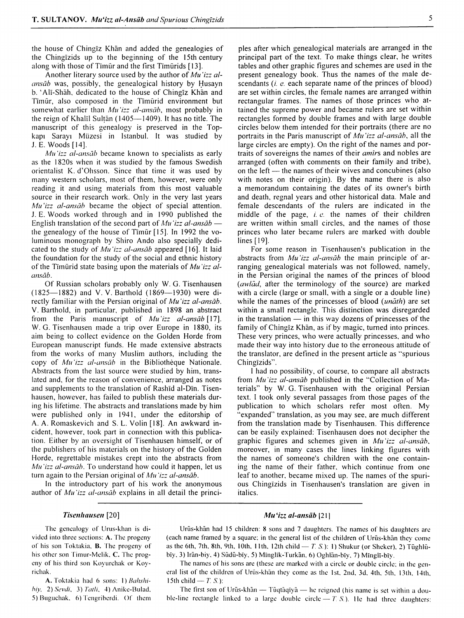the house of Chingiz Khan and added the genealogies of the Chingizids up to the beginning of the 15th century along with those of Timur and the first Timurids [13].

Another literary source used by the author of *Mu 'izz alansāb* was, possibly, the genealogical history by Husayn b. 'Ali-Shah. dedicated to the house of Chingiz Khan and Timur, also composed in the Timurid environment but somewhat earlier than *Mu 'izz al-ansab,* most probably in the reign of Khalīl Sulṭān (1405- $-1409$ ). It has no title. The manuscript of this genealogy is preserved in the Topkap1 Saray1 Miizesi in Istanbul. It was studied by J.E. Woods [14].

*Mu'izz al-ansāb* became known to specialists as early as the 1820s when it was studied by the famous Swedish orientalist K. d'Ohsson. Since that time it was used by many western scholars, most of them, however, were only reading it and using materials from this most valuable source in their research work. Only in the very last years *Mu 'izz al-ansab* became the object of special attention. J.E. Woods worked through and in 1990 published the English translation of the second part of *Mu 'izz al-ansāb* the genealogy of the house of Timur [ 15]. In 1992 the voluminous monograph by Shiro Ando also specially dedicated to the study of *Mu 'izz al-ansab* appeared [ 16]. It laid the foundation for the study of the social and ethnic history of the Timurid state basing upon the materials of *Mu 'izz alansab.* 

Of Russian scholars probably only W. G. Tisenhausen (1825-1882) and V. V. Barthold (1869-1930) were directly familiar with the Persian original of *Mu 'izz al-ansab.*  V. Barthold, in particular, published in 1898 an abstract from the Paris manuscript of *Mu 'izz a/-ansab* [ 17]. W. G. Tisenhausen made a trip over Europe in 1880, its aim being to collect evidence on the Golden Horde from European manuscript funds. He made extensive abstracts from the works of many Muslim authors, including the copy of *Mu'izz al-ansāb* in the Bibliothèque Nationale. Abstracts from the last source were studied by him, translated and, for the reason of convenience, arranged as notes and supplements to the translation of Rashid al-Din. Tisenhausen, however, has failed to publish these materials during his lifetime. The abstracts and translations made by him were published only in 1941, under the editorship of A. A. Romaskevich and S. L. Volin [18]. An awkward incident, however, took part in connection with this publication. Either by an oversight of Tisenhausen himself, or of the publishers of his materials on the history of the Golden Horde, regrettable mistakes crept into the abstracts from *Mu 'izz al-ansab.* To understand how could it happen, let us turn again to the Persian original of *Mu 'izz al-ansab.* 

In the introductory part of his work the anonymous author of *Mu 'izz al-ansab* explains in all detail the princi-

pies after which genealogical materials are arranged in the principal part of the text. To make things clear, he writes tables and other graphic figures and schemes are used in the present genealogy book. Thus the names of the male descendants (i. *e.* each separate name of the princes of blood) are set within circles, the female names are arranged within rectangular frames. The names of those princes who attained the supreme power and became rulers are set within rectangles formed by double frames and with large double circles below them intended for their portraits (there are no portraits in the Paris manuscript of *Mu 'izz al-ansab,* all the large circles are empty). On the right of the names and portraits of sovereigns the names of their *amirs* and nobles are arranged (often with comments on their family and tribe), on the left — the names of their wives and concubines (also with notes on their origin). By the name there is also a memorandum containing the dates of its owner's birth and death, regnal years and other historical data. Male and female descendants of the rulers are indicated in the middle of the page, i. *e.* the names of their children are written within small circles, and the names of those princes who later became rulers are marked with double lines [19].

For some reason in Tisenhausen's publication in the abstracts from *Mu 'izz al-ansab* the main principle of arranging genealogical materials was not followed, namely, in the Persian original the names of the princes of blood *(awlad,* after the terminology of the source) are marked with a circle (large or small, with a single or a double line) while the names of the princesses of blood *(unath)* are set within a small rectangle. This distinction was disregarded in the translation  $-$  in this way dozens of princesses of the family of Chingiz Khān, as if by magic, turned into princes. These very princes, who were actually princesses. and who made their way into history due to the erroneous attitude of the translator, are defined in the present article as "spurious Chingizids".

I had no possibility, of course, to compare all abstracts from *Mu 'izz al-ansab* published in the "Collection of Materials" by W. G. Tisenhausen with the original Persian text. I took only several passages from those pages of the publication to which scholars refer most otien. My "expanded" translation, as you may see, are much different from the translation made by Tisenhausen. This difference can be easily explained: Tisenhausen does not decipher the graphic figures and schemes given in *Mu 'izz al-ansab,*  moreover, in many cases the lines linking figures with the names of someone's children with the one containing the name of their father. which continue from one leaf to another. became mixed up. The names of the spurious Chingizids in Tisenhausen's translation are given in italics.

#### Tisenhausen [20]

The genealogy of Urus-khan is divided into three sections: A. The progeny of his son Toktakia, B. The progeny of his other son Timur-Melik. C. The progeny of his third son Koyurchak or Koyrichak.

A. Toktakia had 6 sons: 1) *Bahshi*hiy, 2) *Sevdi*, 3) *Tatli*, 4) Anike-Bulad. 5) Buguchak. 6) Tcngribcrdi. Of them

#### *Mu* '*izz al-ansāb* [21]

Urūs-khān had 15 children: 8 sons and 7 daughters. The names of his daughters are (each name framed by a square; in the general list of the children of Urūs-khān they come as the 6th, 7th, 8th, 9th, 10th, 11th, 12th child  $- T_1 S$ . [: 1] Shukur (or Sheker), 2) Tüghlübīy, 3) Irān-biy, 4) Sūdū-bīy, 5) Mīnglīk-Turkān, 6) Oghlān-bīy, 7) Mīnglī-bīy.

The names of his sons are (these are marked with a circle or double circle; in the general list of the children of Urūs-khān they come as the 1st, 2nd, 3d, 4th, 5th, 13th, 14th, 15th child  $- T.S.$ ):

The first son of Urūs-khān — Tūqtāqīyā — he reigned (his name is set within a double-line rectangle linked to a large double circle  $- T_1 S$ . He had three daughters: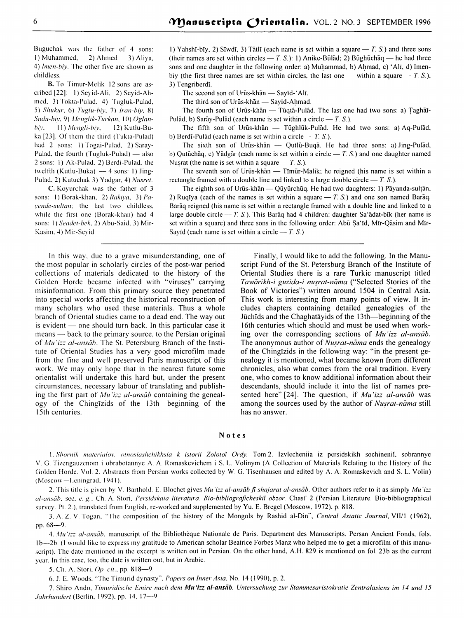Buguchak was the father of 4 sons: I) Muhammed, 2) Ahmed 3) Aliya. 4) *lmen-biy.* The other five arc shown as childless.

B. To Timur-Mclik 12 sons arc ascribed [22]: I) Scyid-Ali. 2) Scyid-Ahmcd. 3) Tokta-Pulad. 4) Tugluk-Pulad, 5) *Slmkur.* 6) *li1gl11-biy.* 7) *lran-biy,* 8) Sudu-biy, 9) Menglik-Turkan, 10) Oglan*biy.* 11) *A/engli-biy.* 12) Kutlu-Buka [23]. Of them the third (Tukta-Pulad) had 2 sons: I) Togai-Pulad, 2) Saray-Pulad, the fourth (Tugluk-Pulad)  $-$  also 2 sons: I) Ak-Pulad. 2) Bcrdi-Pulad, the twelfth (Kutlu-Buka)  $-4$  sons: 1) Jingl'ulad. 2) Kutuchak 3) Yadgar, 4) *Nusret.* 

C. Koyurchak was the father of 3 sons: 1) Borak-khan, 2) *Rakiya*, 3) *Payende-sultan*; the last two childless, while the first one (Borak-khan) had 4 sons: I) *Seadet-bek.* 2) Abu-Said. 3) Mir-Kasim. 4) Mir-Scyid

1) Yahshi-biy, 2) Siwdi, 3) Tatli (each name is set within a square  $-T$ , S.) and three sons (their names are set within circles  $- T. S.$ ): 1) Anike-Būlad; 2) Būghūchaq  $-$  he had three sons and one daughter in the following order: a) Muhammad, b) Ahmad, c) 'Alī, d) Imenbiy (the first three names are set within circles, the last one — within a square —  $T.S.$ ), 3) Tengriberdi.

The second son of Urūs-khān — Savīd-'Alī.

The third son of Urūs-khān — Savīd-Ahmad.

The fourth son of Urūs-khān — Tūqtā-Pulād. The last one had two sons: a) Taghāī-Pulad, b) Saray-Pulad (each name is set within a circle  $- T. S$ .).

The fifth son of Urūs-khan - Tūghlūk-Pulad. He had two sons: a) Aq-Pulad, b) Berdi-Pulad (each name is set within a circle  $- T. S$ .).

The sixth son of Urūs-khān — Qutlū-Buqā. He had three sons: a) Jing-Pulād, b) Qutuchaq. c) Yadgar (each name is set within a circle  $- T$ , S.) and one daughter named Nusrat (the name is set within a square  $- T S$ .).

The seventh son of Urūs-khān  $-$  Tīmūr-Malik; he reigned (his name is set within a rectangle framed with a double line and linked to a large double circle  $- T. S$ .

The eighth son of Urūs-khān — Qūyūrchūq. He had two daughters: 1) Pāyanda-sulțān, 2) Ruqiya (each of the names is set within a square  $- T$ , S.) and one son named Baraq. Baraq reigned (his name is set within a rectangle framed with a double line and linked to a large double circle  $-$  T. S.). This Baraq had 4 children: daughter Sa'adat-bīk (her name is set within a square) and three sons in the following order: Abū Sa'īd, Mīr-Qāsim and Mīr-Sayid (each name is set within a circle  $- T. S.$ )

In this way, due to a grave misunderstanding, one of the most popular in scholarly circles of the post-war period collections of materials dedicated to the history of the Golden Horde became infected with "viruses" carrying misinformation. From this primary source they penetrated into special works affecting the historical reconstruction of many scholars who used these materials. Thus a whole branch of Oriental studies came to a dead end. The way out is evident  $-$  one should turn back. In this particular case it means — back to the primary source, to the Persian original of *Mu'izz al-ansāb*. The St. Petersburg Branch of the Institute of Oriental Studies has a very good microfilm made from the fine and well preserved Paris manuscript of this work. We may only hope that in the nearest future some orientalist will undertake this hard but, under the present circumstances, necessary labour of translating and publishing the first part of *Mu'izz al-ansab* containing the genealogy of the Chingizids of the 13th-beginning of the I 5th centuries.

Finally, I would like to add the following. In the Manuscript Fund of the St. Petersburg Branch of the Institute of Oriental Studies there is a rare Turkic manuscript titled Tawārīkh-i guzīda-i nușrat-nāma ("Selected Stories of the Book of Victories") written around 1504 in Central Asia. This work is interesting from many points of view. It includes chapters containing detailed genealogies of the Jiichids and the Chaghatayids of the 13th-beginning of the 16th centuries which should and must be used when working over the corresponding sections of *Mu 'izz al-ansab.*  The anonymous author of *Nusrat-nāma* ends the genealogy of the Chingizids in the following way: "in the present genealogy it is mentioned, what became known from different chronicles, also what comes from the oral tradition. Every one, who comes to know additional information about their descendants, should include it into the list of names presented here" [24]. The question, if *Mu 'izz al-ansab* was among the sources used by the author of Nusrat-nama still has no answer.

### Notes

I. *Shornik materialov, otnosiashchikhsia k istorii Zolotoi Ordy.* Tom 2. lzvlecheniia iz pcrsidskikh sochinenil, sobrannye V. G. Tizcngauzcnom i obrabotannyc A. A Romaskevichem i S. L. Volinym (A Collection of Materials Relating to the History of the Cioldcn Horde. Vol. 2. Abstracts from Persian works collected by W. G. Tisenhauscn and edited by A A. Romaskevich and S. L. Volin) (Moscow--Leningrad, 1941).

2. This title is given by V. Barthold. E. Blochet gives *Mu 'izz al-ansāb fi shajarat al-ansāb*. Other authors refer to it as simply *Mu 'izz al-wmib.* sec, *e.* g.. Ch. A. Stori. *l'ersidskaia literatura. Bio-bibliograficheskii obzor.* Chast' 2 (Persian Literature. Bio-bibliographical survey. Pt. 2.). translated from English. re-worked and supplemented by Yu. E. Bregel (Moscow. 1972), p. 818.

3. A. Z. V. Togan, "The composition of the history of the Mongols by Rashid al-Din", *Central Asiatic Journal*, VII/1 (1962), pp. 68-9.

4. *Mu "i== al-anscib.* manuscript of the Bibliotheque Nationale de Paris. Department des Manuscripts. Persan Ancient Fonds, fols. Ib-2b. (I would like to express my gratitude to American scholar Beatrice Forbes Manz who helped me to get a microfilm of this manuscript). The date mentioned in the excerpt is written out in Persian. On the other hand, A.H. 829 is mentioned on fol. 23b as the current year. In this case. too. the date is written out. but in Arabic.

5. Ch. A. Stori, *Op. cit.*, pp. 818-9.

6. J. E. Woods. "The Timurid dynasty"". *Papers on Inner Asia,* No. 14 ( 1990), p. 2.

7. Shiro Ando, *Timuridische Emire nach dem Mu'izz al-ansab. Untersuchung zur Stammesaristokratie Zentralasiens im 14 und 15 .fahrhundert* (Berlin, 1992). pp. 14. 17-9.